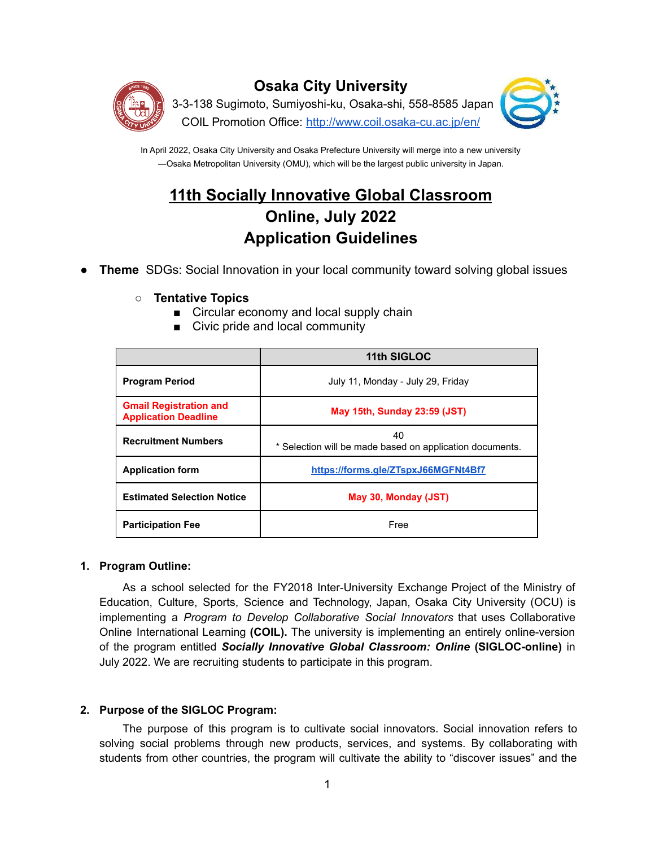

## **Osaka City University**

3-3-138 Sugimoto, Sumiyoshi-ku, Osaka-shi, 558-8585 Japan COIL Promotion Office: <http://www.coil.osaka-cu.ac.jp/en/>



In April 2022, Osaka City University and Osaka Prefecture University will merge into a new university ―Osaka Metropolitan University (OMU), which will be the largest public university in Japan.

# **11th Socially Innovative Global Classroom Online, July 2022 Application Guidelines**

- **Theme** SDGs: Social Innovation in your local community toward solving global issues
	- **Tentative Topics**
		- Circular economy and local supply chain
		- Civic pride and local community

|                                                              | 11th SIGLOC                                                    |  |  |
|--------------------------------------------------------------|----------------------------------------------------------------|--|--|
| <b>Program Period</b>                                        | July 11, Monday - July 29, Friday                              |  |  |
| <b>Gmail Registration and</b><br><b>Application Deadline</b> | <b>May 15th, Sunday 23:59 (JST)</b>                            |  |  |
| <b>Recruitment Numbers</b>                                   | 40<br>* Selection will be made based on application documents. |  |  |
| <b>Application form</b>                                      | https://forms.gle/ZTspxJ66MGFNt4Bf7                            |  |  |
| <b>Estimated Selection Notice</b>                            | May 30, Monday (JST)                                           |  |  |
| <b>Participation Fee</b>                                     | Free                                                           |  |  |

## **1. Program Outline:**

As a school selected for the FY2018 Inter-University Exchange Project of the Ministry of Education, Culture, Sports, Science and Technology, Japan, Osaka City University (OCU) is implementing a *Program to Develop Collaborative Social Innovators* that uses Collaborative Online International Learning **(COIL).** The university is implementing an entirely online-version of the program entitled *Socially Innovative Global Classroom: Online* **(SIGLOC-online)** in July 2022. We are recruiting students to participate in this program.

## **2. Purpose of the SIGLOC Program:**

The purpose of this program is to cultivate social innovators. Social innovation refers to solving social problems through new products, services, and systems. By collaborating with students from other countries, the program will cultivate the ability to "discover issues" and the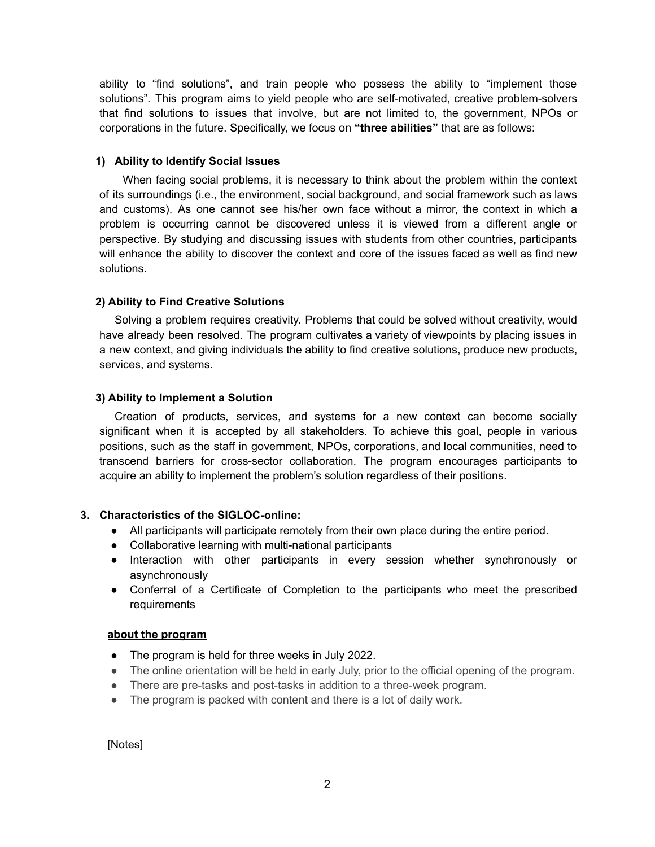ability to "find solutions", and train people who possess the ability to "implement those solutions". This program aims to yield people who are self-motivated, creative problem-solvers that find solutions to issues that involve, but are not limited to, the government, NPOs or corporations in the future. Specifically, we focus on **"three abilities"** that are as follows:

## **1) Ability to Identify Social Issues**

When facing social problems, it is necessary to think about the problem within the context of its surroundings (i.e., the environment, social background, and social framework such as laws and customs). As one cannot see his/her own face without a mirror, the context in which a problem is occurring cannot be discovered unless it is viewed from a different angle or perspective. By studying and discussing issues with students from other countries, participants will enhance the ability to discover the context and core of the issues faced as well as find new solutions.

## **2) Ability to Find Creative Solutions**

Solving a problem requires creativity. Problems that could be solved without creativity, would have already been resolved. The program cultivates a variety of viewpoints by placing issues in a new context, and giving individuals the ability to find creative solutions, produce new products, services, and systems.

## **3) Ability to Implement a Solution**

Creation of products, services, and systems for a new context can become socially significant when it is accepted by all stakeholders. To achieve this goal, people in various positions, such as the staff in government, NPOs, corporations, and local communities, need to transcend barriers for cross-sector collaboration. The program encourages participants to acquire an ability to implement the problem's solution regardless of their positions.

## **3. Characteristics of the SIGLOC-online:**

- All participants will participate remotely from their own place during the entire period.
- Collaborative learning with multi-national participants
- Interaction with other participants in every session whether synchronously or asynchronously
- Conferral of a Certificate of Completion to the participants who meet the prescribed requirements

## **about the program**

- The program is held for three weeks in July 2022.
- The online orientation will be held in early July, prior to the official opening of the program.
- There are pre-tasks and post-tasks in addition to a three-week program.
- The program is packed with content and there is a lot of daily work.

[Notes]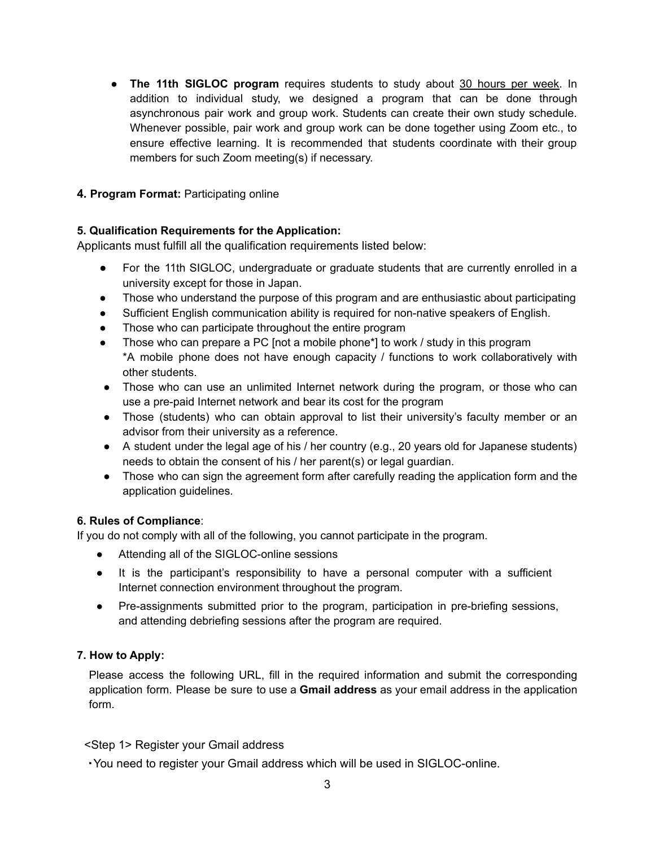● **The 11th SIGLOC program** requires students to study about 30 hours per week. In addition to individual study, we designed a program that can be done through asynchronous pair work and group work. Students can create their own study schedule. Whenever possible, pair work and group work can be done together using Zoom etc., to ensure effective learning. It is recommended that students coordinate with their group members for such Zoom meeting(s) if necessary.

## **4. Program Format:** Participating online

## **5. Qualification Requirements for the Application:**

Applicants must fulfill all the qualification requirements listed below:

- For the 11th SIGLOC, undergraduate or graduate students that are currently enrolled in a university except for those in Japan.
- Those who understand the purpose of this program and are enthusiastic about participating
- Sufficient English communication ability is required for non-native speakers of English.
- Those who can participate throughout the entire program
- Those who can prepare a PC [not a mobile phone\*] to work / study in this program \*A mobile phone does not have enough capacity / functions to work collaboratively with other students.
- Those who can use an unlimited Internet network during the program, or those who can use a pre-paid Internet network and bear its cost for the program
- Those (students) who can obtain approval to list their university's faculty member or an advisor from their university as a reference.
- A student under the legal age of his / her country (e.g., 20 years old for Japanese students) needs to obtain the consent of his / her parent(s) or legal guardian.
- Those who can sign the agreement form after carefully reading the application form and the application guidelines.

## **6. Rules of Compliance**:

If you do not comply with all of the following, you cannot participate in the program.

- Attending all of the SIGLOC-online sessions
- It is the participant's responsibility to have a personal computer with a sufficient Internet connection environment throughout the program.
- Pre-assignments submitted prior to the program, participation in pre-briefing sessions, and attending debriefing sessions after the program are required.

## **7. How to Apply:**

Please access the following URL, fill in the required information and submit the corresponding application form. Please be sure to use a **Gmail address** as your email address in the application form.

## <Step 1> Register your Gmail address

・You need to register your Gmail address which will be used in SIGLOC-online.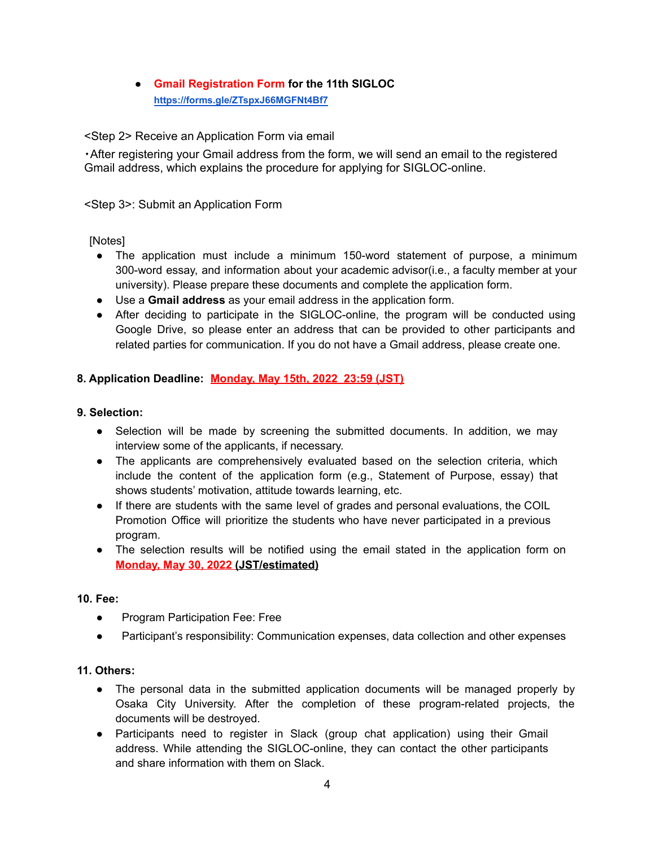## ● **Gmail Registration Form for the 11th SIGLOC <https://forms.gle/ZTspxJ66MGFNt4Bf7>**

<Step 2> Receive an Application Form via email

・After registering your Gmail address from the form, we will send an email to the registered Gmail address, which explains the procedure for applying for SIGLOC-online.

## <Step 3>: Submit an Application Form

[Notes]

- The application must include a minimum 150-word statement of purpose, a minimum 300-word essay, and information about your academic advisor(i.e., a faculty member at your university). Please prepare these documents and complete the application form.
- Use a **Gmail address** as your email address in the application form.
- After deciding to participate in the SIGLOC-online, the program will be conducted using Google Drive, so please enter an address that can be provided to other participants and related parties for communication. If you do not have a Gmail address, please create one.

## **8. Application Deadline: Monday, May 15th, 2022 23:59 (JST)**

## **9. Selection:**

- Selection will be made by screening the submitted documents. In addition, we may interview some of the applicants, if necessary.
- The applicants are comprehensively evaluated based on the selection criteria, which include the content of the application form (e.g., Statement of Purpose, essay) that shows students' motivation, attitude towards learning, etc.
- If there are students with the same level of grades and personal evaluations, the COIL Promotion Office will prioritize the students who have never participated in a previous program.
- The selection results will be notified using the email stated in the application form on **Monday, May 30, 2022 (JST/estimated)**

## **10. Fee:**

- Program Participation Fee: Free
- Participant's responsibility: Communication expenses, data collection and other expenses

## **11. Others:**

- The personal data in the submitted application documents will be managed properly by Osaka City University. After the completion of these program-related projects, the documents will be destroyed.
- Participants need to register in Slack (group chat application) using their Gmail address. While attending the SIGLOC-online, they can contact the other participants and share information with them on Slack.